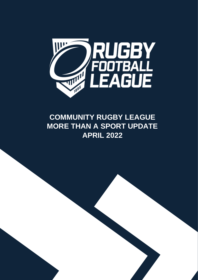

# **COMMUNITY RUGBY LEAGUE MORE THAN A SPORT UPDATE APRIL 2022**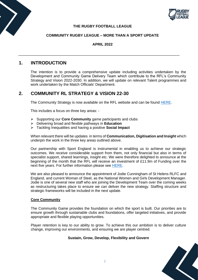



## **THE RUGBY FOOTBALL LEAGUE**

## **COMMUNITY RUGBY LEAGUE – MORE THAN A SPORT UPDATE**

## **APRIL 2022**

# **1. INTRODUCTION**

The intention is to provide a comprehensive update including activities undertaken by the Development and Community Game Delivery Team which contribute to the RFL's Community Strategy and Vision 2022-2030. In addition, we will update on relevant Talent programmes and work undertaken by the Match Officials' Department.

# **2. COMMUNITY RL STRATEGY & VISION 22-30**

The Community Strategy is now available on the RFL website and can be found [HERE.](http://staging.rugby-league.com/uploads/docs/Community%20Strategy%202021.pdf)

This includes a focus on three key areas: -

- ➢ Supporting our **Core Community** game participants and clubs
- ➢ Delivering broad and flexible pathways in **Education**
- ➢ Tackling Inequalities and having a positive **Social Impact**

When relevant there will be updates in terms of **Communication, Digitisation and Insight** which underpin the work in the three key areas outlined above.

Our partnership with Sport England is instrumental in enabling us to achieve our strategic outcomes. We receive considerable support from them, not only financial but also in terms of specialist support, shared learnings, insight etc. We were therefore delighted to announce at the beginning of the month that the RFL will receive an investment of £11.9m of Funding over the next five years. For further information please see [HERE.](https://www.rugby-league.com/article/36763/rfl-one-of-first-to-benefit-from-new-sport-england-funding-model)

We are also pleased to announce the appointment of Jodie Cunningham of St Helens RLFC and England, and current Woman of Steel, as the National Women and Girls Development Manager. Jodie is one of several new staff who are joining the Development Team over the coming weeks as restructuring takes place to ensure we can deliver the new strategy. Staffing structure and strategic frameworks will be included in the next update.

## **Core Community**

The Community Game provides the foundation on which the sport is built. Our priorities are to ensure growth through sustainable clubs and foundations, offer targeted initiatives, and provide appropriate and flexible playing opportunities.

Player retention is key to our ability to grow. To achieve this our ambition is to deliver culture change, improving our environments, and ensuring we are player centred.

## **Sustain, Grow, Develop, Flexibility and Govern**

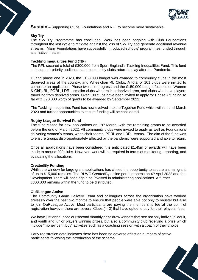

**Sustain** – Supporting Clubs, Foundations and RFL to become more sustainable.

## **Sky Try**

The Sky Try Programme has concluded. Work has been ongoing with Club Foundations throughout the last cycle to mitigate against the loss of Sky Try and generate additional revenue streams. Many Foundations have successfully introduced schools' programmes funded through alternative means.

## **Tackling Inequalities Fund (TIF)**

The RFL secured a total of £300,000 from Sport England's Tackling Inequalities Fund. This fund is to support priority audiences and community clubs return to play after the Pandemic.

During phase one in 2020, the £150,000 budget was awarded to community clubs in the most deprived areas of the country, and Wheelchair RL Clubs. A total of 101 clubs were invited to complete an application. Phase two is in progress and the £150,000 budget focuses on Women & Girl's RL, PDRL, LDRL, smaller clubs who are in a deprived area, and clubs who have players travelling from deprived areas. Over 100 clubs have been invited to apply for Phase 2 funding so far with £70,000 worth of grants to be awarded by September 2022.

The Tackling Inequalities Fund has now evolved into the Together Fund which will run until March 2023 and further opportunities to secure funding will be considered.

## **Rugby League Survival Fund**

The fund closed for new applications on  $18<sup>th</sup>$  March, with the remaining grants to be awarded before the end of March 2022. All community clubs were invited to apply as well as Foundations delivering women's teams, wheelchair teams, PDRL and LDRL teams. The aim of the fund was to ensure groups disproportionately affected by the pandemic were supported and able to return.

Once all applications have been considered it is anticipated £1.45m of awards will have been made to around 200 clubs. However, work will be required in terms of monitoring, reporting, and evaluating the allocations.

### **CreatedBy Funding**

Whilst the window for large grant applications has closed the opportunity to secure a small grant of up to £15,000 remains. The RLWC CreatedBy online portal reopens on 4<sup>th</sup> April 2022 and the Development Team will once again be involved in administering applications. A further £300,000 remains within the fund to be distributed.

### **OuRLeague Active**

The Community Game Delivery Team and colleagues across the organisation have worked tirelessly over the past two months to ensure that people were able not only to register but also to join OuRLeague Active. Most participants are paying the membership fee at the point of registration however there are several Clubs (112) that have opted to pay for their players' fees.

We have just announced our second monthly prize draw winners that see not only individual adult, and youth and junior players winning prizes, but also a community club receiving a prize which include "money can't buy" activities such as a coaching session with a coach of their choice.

Early registration data indicates there has been no adverse effect on numbers of active participants following the introduction of the scheme.

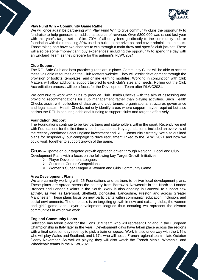

## **Play Fund Win – Community Game Raffle**

We will once again be partnering with Play Fund Win to give community clubs the opportunity to fundraise to help generate an additional source of revenue. Over £300,000 was raised last year with this year's target set at £1m. 70% of all entry fees go directly to the community club or foundation with the remaining 30% used to build up the prize pot and cover administration costs. Those taking part have two chances to win through a main draw and specific club jackpot. There will also be some 'money can't buy experiences' including the opportunity to spend the day with an England Team as they prepare for this autumn's RLWC2021.

## **Club Support**

The RFL Safe Club and best practice guides are in place. Community Clubs will be able to access these valuable resources on the Club Matters website. They will assist development through the provision of toolkits, templates, and online learning modules. Working in conjunction with Club Matters will allow additional support tailored to each club's size and needs. Rolling out the Club Accreditation process will be a focus for the Development Team after RLWC2021.

We continue to work with clubs to produce Club Health Checks with the aim of assessing and providing recommendations for club management rather than playing activities. Such Health Checks assist with collection of data around club tenure, organisational structures governance and legal status. Health Checks not only identify areas where support maybe required but also assists the RFL in securing additional funding to support clubs and target it effectively.

## **Foundation Support**

The Foundations continue to be key partners and stakeholders within the sport. Recently we met with Foundations for the first time since the pandemic. Key agenda items included an overview of the recently confirmed Sport England investment and RFL Community Strategy. We also outlined plans for 'InspiredBy' our campaign to drive recruitment linked to the RLWC2021 and how we could work together to support growth of the game.

**Grow –** Update on our targeted growth approach driven through Regional, Local and Club Development Plans with a focus on the following key Target Growth Initiatives:

- ➢ Player Development Leagues
- ➢ Customer Centric Competitions
- ➢ Women's Super League & Women and Girls Community Game

### **Area Development Plans**

We are currently working with 25 Foundations and partners to deliver local development plans. These plans are spread across the country from Barrow & Newcastle in the North to London Broncos and London Skolars in the South. Work is also ongoing in Cornwall to support new activity, as well as Liverpool, Sheffield, Doncaster, Lancashire, Preston and across Greater Manchester. These plans focus on new participants within community, education, inclusion, and social environments. The emphasis is on targeting growth in new and existing clubs, the women and girls' game, and player development leagues thus ensuring we represent the diverse communities in which we work.

### **England Community Lions**

Selection has taken place for the Lions U19 team who will represent England in the European Championship in Italy later in the year. Development days have taken place across the regions with a final selection day recently to pick a train-on squad. Work is also underway with the U16's who will play Wales and Scotland, and U17's who will host a French regional team in late October / early November. As well as playing they will also watch the French Men's, Women's, and Wheelchair teams in the RLWC2021.

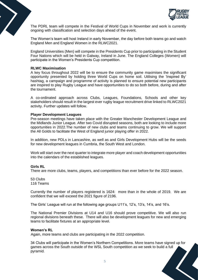

The PDRL team will compete in the Festival of World Cups in November and work is currently ongoing with classification and selection days ahead of the event.

The Women's team will host Ireland in early November, the day before both teams go and watch England Men and England Women in the RLWC2021.

England Universities (Men) will compete in the Presidents Cup prior to participating in the Student Four Nations which will be held in Galway, Ireland in June. The England Colleges (Women) will participate in the Women's Presidents Cup competition.

#### **RLWC Maximisation**

A key focus throughout 2022 will be to ensure the community game maximises the significant opportunity presented by holding three World Cups on home soil. Utilising the 'Inspired By' hashtag, a campaign and programme of activity is planned to ensure potential new participants are inspired to play Rugby League and have opportunities to do so both before, during and after the tournament.

A co-ordinated approach across Clubs, Leagues, Foundations, Schools and other key stakeholders should result in the largest ever rugby league recruitment drive linked to RLWC2021 activity. Further updates will follow.

#### **Player Development Leagues**

Pre-season meetings have taken place with the Greater Manchester Development League and the Midlands Junior League. After two Covid disrupted seasons, both are looking to include more opportunities in 2022.The number of new clubs and teams continuing to grow. We will support the All Golds to facilitate the West of England junior playing offer in 2022.

In addition, new PDLs in Lancashire, as well as and Girls Development Hubs will be the seeds for new development leagues in Cumbria, the South West and London.

Work will start over the next quarter to integrate more player and coach development opportunities into the calendars of the established leagues.

#### **Girls RL**

There are more clubs, teams, players, and competitions than ever before for the 2022 season.

53 Clubs 116 Teams

Currently the number of players registered is 1624: more than in the whole of 2019. We are confident that we will exceed the 2021 figure of 2196.

The Girls' League will run at the following age groups U11's, 12's, 13's, 14's, and 16's.

The National Premier Divisions at U14 and U16 should prove competitive. We will also run regional divisions beneath these. There will also be development leagues for new and emerging teams to facilitate fixtures at an appropriate level.

### **Women's RL**

Again, more teams and clubs are participating in the 2022 competition.

34 Clubs will participate in the Women's Northern Competitions. More teams have signed up for games across the South outside of the WSL South competition as we seek to build a full pyramid.

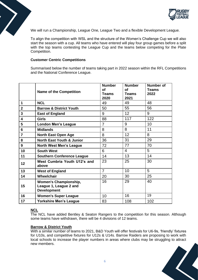

We will run a Championship, League One, League Two and a flexible Development League.

To align the competition with WSL and the structure of the Women's Challenge Cup we will also start the season with a cup. All teams who have entered will play four group games before a split with the top teams contesting the League Cup and the teams below competing for the Plate Competition.

### **Customer Centric Competitions**

Summarised below the number of teams taking part in 2022 season within the RFL Competitions and the National Conference League.

|                         | <b>Name of the Competition</b>                                               | <b>Number</b><br>of<br><b>Teams</b><br>2020 | <b>Number</b><br><b>of</b><br><b>Teams</b><br>2021 | <b>Number of</b><br><b>Teams</b><br>2022 |
|-------------------------|------------------------------------------------------------------------------|---------------------------------------------|----------------------------------------------------|------------------------------------------|
| 1                       | <b>NCL</b>                                                                   | 49                                          | 49                                                 | 48                                       |
| $\overline{\mathbf{2}}$ | <b>Barrow &amp; District Youth</b>                                           | 50                                          | 55                                                 | 56                                       |
| 3                       | <b>East of England</b>                                                       | 9                                           | 12 <sup>2</sup>                                    | 9                                        |
| 4                       | <b>Girls</b>                                                                 | 88                                          | 117                                                | 122                                      |
| 5                       | <b>London Men's League</b>                                                   | $\overline{7}$                              | 9                                                  | 10                                       |
| 6                       | <b>Midlands</b>                                                              | 8                                           | 8                                                  | 11                                       |
| $\overline{7}$          | <b>North East Open Age</b>                                                   | 8                                           | 12                                                 | 8                                        |
| 8                       | <b>North East Youth &amp; Junior</b>                                         | 36                                          | 31                                                 | 29                                       |
| 9                       | <b>North West Men's League</b>                                               | 72                                          | 77                                                 | 70                                       |
| 10                      | <b>South West</b>                                                            | 6                                           | 4                                                  | 5                                        |
| 11                      | <b>Southern Conference League</b>                                            | 14                                          | 13                                                 | 14                                       |
| 12                      | West Cumbria Youth U12's and<br>above                                        | 23                                          | 25                                                 | 30                                       |
| 13                      | <b>West of England</b>                                                       | $\overline{7}$                              | 10                                                 | 5                                        |
| 14                      | Wheelchair                                                                   | 20                                          | 30                                                 | 25                                       |
| 15                      | <b>Women's Championship,</b><br>League 1, League 2 and<br><b>Development</b> | 16                                          | 29                                                 | 40                                       |
| 16                      | <b>Women's Super League</b>                                                  | 10                                          | 16                                                 | 19                                       |
| 17                      | <b>Yorkshire Men's League</b>                                                | 83                                          | 108                                                | 102                                      |

## **NCL**

The NCL have added Bentley & Seaton Rangers to the competition for this season. Although some teams have withdrawn, there will be 4 divisions of 12 teams.

### **Barrow & District Youth**

With a similar number of teams to 2021, B&D Youth will offer festivals for U6-9s, 'friendly' fixtures for U10s, and competitive fixtures for U12s & U14s. Barrow Raiders are proposing to work with local schools to increase the player numbers in areas where clubs may be struggling to attract new members.

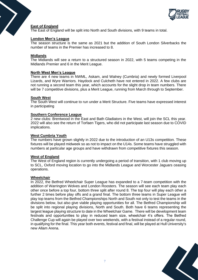

## **East of England**

The East of England will be split into North and South divisions, with 9 teams in total.

## **London Men's League**

The season structure is the same as 2021 but the addition of South London Silverbacks the number of teams in the Premier has increased to 8.

### **Midlands**

The Midlands will see a return to a structured season in 2022, with 5 teams competing in the Midlands Premier and 6 in the Merit League.

#### **North West Men's League**

There are 4 new teams in NWML, Askam, and Walney (Cumbria) and newly formed Liverpool Lizards, and Wyre Warriors. Haydock and Culcheth have not entered in 2022. A few clubs are not running a second team this year, which accounts for the slight drop in team numbers. There will be 7 competitive divisions, plus a Merit League, running from March through to September.

#### **South West**

The South West will continue to run under a Merit Structure. Five teams have expressed interest in participating

#### **Southern Conference League**

2 new clubs: Brentwood in the East and Bath Gladiators in the West, will join the SCL this year. 2022 will also see the return of Torfaen Tigers, who did not participate last season due to COVID implications.

#### **West Cumbria Youth**

The numbers have grown slightly in 2022 due to the introduction of an U13s competition. These fixtures will be played midweek so as not to impact on the U14s. Some teams have struggled with numbers at particular age groups and have withdrawn from competitive fixtures this season.

### **West of England**

The West of England region is currently undergoing a period of transition, with 1 club moving up to SCL, Oxford moving location to go into the Midlands League and Worcester Jaguars ceasing operations.

#### **Wheelchair**

In 2022, the Betfred Wheelchair Super League has expanded to a 7-team competition with the addition of Warrington Wolves and London Roosters. The season will see each team play each other once before a top four, bottom three split after round 8. The top four will play each other a further 2 times before play offs and a grand final. The bottom three teams in Super League will play top teams from the Betfred Championships North and South not only to test the teams in the divisions below, but also give viable playing opportunities for all. The Betfred Championship will be split into regional playing divisions, North and South. Both have 6 teams representing the largest league playing structure to date in the Wheelchair Game. There will be development team festivals and opportunities to play in reduced team size, wheelchair 4's offers. The Betfred Challenge Cup will again be played over two weekends, with a festival instead of a regular round, in qualifying for the final. This year both events, festival and final, will be played at Hull University's new Allam Arena.

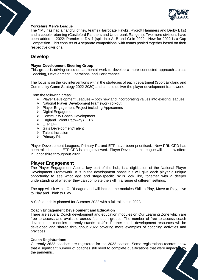

## **Yorkshire Men's League**

The YML has had a handful of new teams (Harrogate Hawks, Rycroft Hammers and Derby Elks) and a couple returning (Castleford Panthers and Underbank Rangers). Two more divisions have been added in 2022: Premier to Div 7 (spilt into A, B and C) in 2022. New for 2022 is a Cup Competition. This consists of 4 separate competitions, with teams pooled together based on their respective divisions.

# **Develop**

## **Player Development Steering Group**

This group is driving cross-departmental work to develop a more connected approach across Coaching, Development, Operations, and Performance.

The focus is on the key interventions within the strategies of each department (Sport England and Community Game Strategy 2022-2030) and aims to deliver the player development framework.

From the following areas:

- $\triangleright$  Player Development Leagues both new and incorporating values into existing leagues
- ➢ National Player Development Framework roll-out
- ➢ Player Engagement Project including App/comms
- ➢ Digital Engagement
- ➢ Community Coach Development
- ➢ England Talent Pathway (ETP)
- ➢ ETP 14+
- ➢ Girls Development/Talent
- ➢ Talent Inclusion
- ➢ Primary RL

Player Development Leagues, Primary RL and ETP have been prioritised. New PRL CPD has been rolled out and ETP CPD is being reviewed. Player Development League will see new offers in Lancashire throughout 2022.

# **Player Engagement**

The Player Engagement App; a key part of the hub, is a digitisation of the National Player Development Framework. It is in the development phase but will give each player a unique opportunity to see what age and stage-specific skills look like, together with a deeper understanding of whether they can complete the skill in a range of different settings.

The app will sit within OuRLeague and will include the modules Skill to Play, Move to Play, Live to Play and Think to Play.

A Soft launch is planned for Summer 2022 with a full roll out in 2023.

### **Coach Engagement Development and Education**

There are several Coach development and education modules on Our Learning Zone which are free to access and available across four open groups. The number of free to access coach development modules currently stands at 40+. Further coach development resources will be developed and shared throughout 2022 covering more examples of coaching activities and practices.

### **Coach Registrations**

Currently 2622 coaches are registered for the 2022 season. Some registrations records show that a significant number of coaches still need to complete qualifications that were impacted by<br>the pandemic. the pandemic.

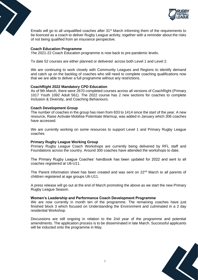

Emails will go to all unqualified coaches after 31<sup>st</sup> March informing them of the requirements to be licenced as a coach to deliver Rugby League activity, together with a reminder about the risks of not being qualified from an insurance perspective.

## **Coach Education Programme**

The 2021-22 Coach Education programme is now back to pre-pandemic levels.

To date 52 courses are either planned or delivered across both Level 1 and Level 2.

We are continuing to work closely with Community Leagues and Regions to identify demand and catch up on the backlog of coaches who still need to complete coaching qualifications now that we are able to deliver a full programme without any restrictions.

### **CoachRight 2022 Mandatory CPD Education**

As of 9th March, there were 2670 completed courses across all versions of CoachRight (Primary 1017 Youth 1092 Adult 561). The 2022 course has 2 new sections for coaches to complete Inclusion & Diversity, and Coaching Behaviours.

### **Coach Development Group**

The number of coaches in the group has risen from 833 to 1414 since the start of the year. A new resource, Raise Activate Mobilise Potentiate Warmup, was added in January which 306 coaches have accessed.

We are currently working on some resources to support Level 1 and Primary Rugby League coaches

## **Primary Rugby League Working Group**

Primary Rugby League Coach Workshops are currently being delivered by RFL staff and Foundations across the country. Around 300 coaches have attended the workshops to date.

The Primary Rugby League Coaches' handbook has been updated for 2022 and sent to all coaches registered at U6-U11.

The Parent Information sheet has been created and was sent on 22<sup>nd</sup> March to all parents of children registered at age groups U6-U11.

A press release will go out at the end of March promoting the above as we start the new Primary Rugby League Season.

### **Women's Leadership and Performance Coach Development Programme**

We are now currently in month ten of the programme. The remaining coaches have just finished block 3 which focused on Understanding the Environment and culminated in a 2 day residential Workshop.

Discussions are still ongoing in relation to the 2nd year of the programme and potential amendments. The application process is to be disseminated in late March. Successful applicants will be inducted onto the programme in May.

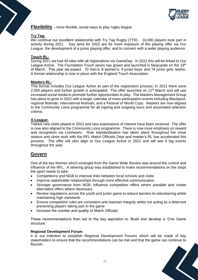

**Flexibility** – more flexible, social ways to play rugby league

## **Try Tag:**

We continue our excellent relationship with Try Tag Rugby (TTR). 10,000 players took part in activity during 2021. Key aims for 2022 are for more exposure of the playing offer via Our League, the development of a junior playing offer, and to connect with a wider playing audience.

## **Touch RL:**

During 2021 we had 40 sites with all registrations via GameDay. In 2022 this will be linked to Our League Active. The Foundation Touch series has grown and launched in Newcastle on the 19<sup>th</sup> of March. This year we expect 10 men's, 8 women's, 4 junior boys' and 14 junior girls' teams. A formal relationship is now in place with the England Touch Association.

## **Masters RL:**

This format includes Our League Active as part of the registration process. In 2021 there were 2,000 players and further growth is anticipated. The offer launched on  $12<sup>th</sup>$  March and will use increased social media to promote further opportunities to play. The Masters Management Group has plans to grow in 2022 with a larger calendar of mass participation events including Blackpool. regional festivals, international festivals, and a Festival of World Cups. Masters are now aligned to the Community Lions programme for all ingoing and outgoing tours and associated selection criteria.

## **X-League:**

Twelve new clubs played in 2021 and new expressions of interest have been received. The offer is now also aligned to the Community Lions programme. There is now more emphasis on reward and recognition via Lionhearts. Rule standardisation has taken place throughout the close season and close work with the RFL Match Officials Dept and master's RL has accelerated this process. The offer will also align to Our League Active in 2022 and will see 4 big events throughout the year.

# **Govern**

One of the key themes which emerged from the Game Wide Review was around the control and influence of the RFL. A steering group was established to make recommendations on the steps the sport needs to take:

- Competitions and NGB to improve links between local schools and clubs
- Improve stakeholder relationships through more effective communication
- Stronger governance from NGB; influence competition offers where possible and create alternative offers where necessary
- Review regulations across the youth and junior game to reduce barriers to volunteering whilst maintaining high standards
- Ensure competition rules are consistent and maintain integrity whilst not acting as a deterrent preventing players taking part in the game
- Increase the number and quality of Match Officials

These recommendations then led to the key aspiration to 'Build and develop a 'One Game structure.'

### **Regional Development Forum**

It is our intention to establish Regional Development Forums which will be made of key stakeholders to ensure that the recommendations can be met and that the game can continue to flourish.

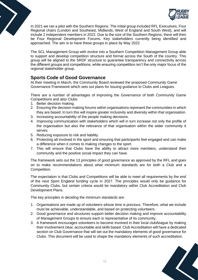

In 2021 we ran a pilot with the Southern Regions. The initial group included RFL Executives, Four Regional chairs (London and Southeast, Midlands, West of England and South West), and will include 2 independent members in 2022. Due to the size of the Southern Regions, there will then be Four Regional Development Forums. Key stakeholders currently being identified and approached. The aim is to have these groups in place by May 2022

The SCL Management Group with evolve into a Southern Competition Management Group able to support and develop competition structure and format across the South of the country. This group will be aligned to the SRDF structure to guarantee transparency and connectivity across the different groups and competitions, while ensuring competition isn't the only major focus of the regional stakeholder group.

# **Sports Code of Good Governance**

At their meeting in March, the Community Board reviewed the proposed Community Game Governance Framework which sets out plans for issuing guidance to Clubs and Leagues.

There are a number of advantages of improving the Governance of both Community Game Competitions and also Clubs:

- 1. Better decision making.
- 2. Ensuring the decision-making forums within organisations represent the communities in which they are based. In turn this will inspire greater inclusivity and diversity within that organisation.
- 3. Increasing accountability of the people making decisions.
- 4. Improving communication with stakeholders which will in turn increase not only the profile of the organisation but also the relevance of that organisation within the wider community it serves.
- 5. Reducing exposure to risk and liability.
- 6. Protecting all involved in the sport and ensuring that participants feel engaged and can make a difference when it comes to making changes to the sport.
- 7. This will ensure that Clubs have the ability to attract more members, understand their community and the positive social impact they can have.

The framework sets out the 13 principles of good governance as approved by the RFL and goes on to make recommendations about what minimum standards are for both a Club and a Competition.

The expectation is that Clubs and Competitions will be able to meet all requirements by the end of the next Sport England funding cycle in 2027. The principles would only be guidance for Community Clubs, but certain criteria would be mandatory within Club Accreditation and Club Development Plans.

The key principles in deciding the minimum standards are:

- 1. Organisations are made up of volunteers whose time is precious. Therefore, what we include must be achievable, understandable, and based on protecting volunteers.
- 2. Good governance and structures support better decision making and improve accountability of Management Groups to ensure each is representative of its community.
- 3. A framework encourages volunteers to become involved in their local club/league by making their involvement clear, accountable and skills based. Club Accreditation will have a dedicated section on Club Governance that will set out the mandatory elements of good governance for Clubs. This document will be used to shape the mandatory elements of such accreditation.

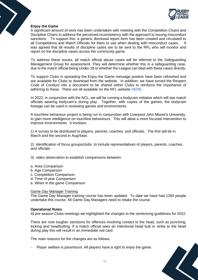

## **Enjoy the Game**

A significant amount of work has been undertaken with meeting with the Competition Chairs and Discipline Chairs to address the perceived inconsistency with the approach to issuing misconduct sanctions. To support this, a generic dismissal report form has been created and circulated to all Competitions and Match Officials for them to use when dealing with misconduct cases. It was agreed that all results of discipline cases are to be sent to the RFL who will monitor and report on the discipline cases across the community game.

To address these issues, all match official abuse cases will be referred to the Safeguarding Management Group for assessment. They will determine whether this is a safeguarding case, due to the match official being Under-18 or whether the League can deal with these cases directly.

To support Clubs in spreading the Enjoy the Game message posters have been refreshed and are available for Clubs to download from the website. In addition, we have turned the Respect Code of Conduct into a document to be shared within Clubs to reinforce the importance of adhering to these. There are all available on the RFL website [HERE.](https://www.rugby-league.com/governance/campaigns/enjoy-the-game)

In 2022, in conjunction with the NCL, we will be running a bodycam initiative which will see match officials wearing bodycam's during play. Together, with copies of the games, the bodycam footage can be used in reviewing games and environments.

A touchline behaviour project is being run in conjunction with Liverpool John Moore's University, to gain more intelligence on touchline behaviours. This will allow a more focused intervention to improve environments. It involves:

1) A survey to be distributed to players, parents, coaches, and officials. The first will be in March and the second in Aug/Sept.

2) identification of focus groups/clubs to include representatives of players, parents, coaches, and officials.

3) video observation to establish comparisons between:

- a. Area Comparison
- b. Age Comparison
- c. Competition Comparison
- d. Time of year Comparison
- e. When in the game Comparison

## Game Day Manager Training

The Game Day Manager training course has been updated. To date we have had 1350 people undertake this course. All Game Day Managers need to retake the course.

### **Operational Rules**

At pre-season Clubs meetings we highlighted the changes to the sentencing guidelines for 2022.

There are now tougher sanctions for offences involving contact to the head, such as punching, kicking and headbutting. If a match official sees an intentional head butt or strike to the head during play this will result in an immediate red card.

The main reasons for the changes are as follows.

- Player welfare is paramount. All players have a right to enjoy the game.

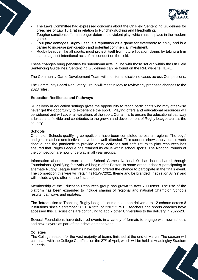

- The Laws Committee had expressed concerns about the On Field Sentencing Guidelines for breaches of Law 15.1 (a) in relation to Punching/Kicking and Headbutting.
- Tougher sanctions offer a stronger deterrent to violent play, which has no place in the modern game.
- Foul play damages Rugby League's reputation as a game for everybody to enjoy and is a barrier to increase participation and potential commercial investment.
- Rugby League, like all sports, must protect itself from future litigation claims by taking a firm stance against intentional acts of misconduct on the field.

These changes bring penalties for 'intentional acts' in line with those set out within the On Field Sentencing Guidelines. Sentencing Guidelines can be found on the RFL website [HERE.](https://staging.rugby-league.com/flipbooks/2022-operational-rules-tiers-4-6/index.html#p=174)

The Community Game Development Team will monitor all discipline cases across Competitions.

The Community Board Regulatory Group will meet in May to review any proposed changes to the 2023 rules.

## **Education Resilience and Pathways**

RL delivery in education settings gives the opportunity to reach participants who may otherwise never get the opportunity to experience the sport. Playing offers and educational resources will be widened and will cover all variations of the sport. Our aim is to ensure the educational pathway is broad and flexible and contributes to the growth and development of Rugby League across the country.

## **Schools**

Champion Schools qualifying competitions have been completed across all regions. The boys' and girls' matches and festivals have been well attended. This success shows the valuable work done during the pandemic to provide virtual activities and safe return to play resources has ensured that Rugby League has retained its value within school sports. The National rounds of the competition are now underway in all year groups.

Information about the return of the School Games National 9s has been shared through Foundations. Qualifying festivals will begin after Easter. In some areas, schools participating in alternate Rugby League formats have been offered the chance to participate in the finals event. The competition this year will retain its RLWC2021 theme and be branded 'Inspiration All 9s' and will include a girls offer for the first time.

Membership of the Education Resources group has grown to over 700 users. The use of the platform has been expanded to include sharing of regional and national Champion Schools results, pathways and updates.

The 'Introduction to Teaching Rugby League' course has been delivered to 12 cohorts across 8 institutions since September 2021. A total of 220 future PE teachers and sports coaches have accessed this. Discussions are continuing to add 7 other Universities to the delivery in 2022-23.

Several Foundations have delivered events in a variety of formats to engage with new schools and new players as part of their development plans.

### **Colleges**

The College season for the vast majority of teams finished at the end of March. The season will culminate with the College Cup Final on the 27<sup>th</sup> of April, which will be held at Headingley Stadium in Leeds.

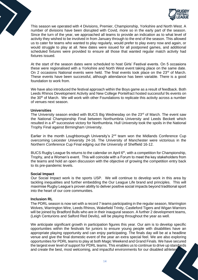

This season we operated with 4 Divisions, Premier, Championship, Yorkshire and North West. A number of divisions have been disrupted with Covid, more so in the early part of the season. Since the turn of the year, we approached all teams to provide an indication as to what level of activity they wished to be involved in from January through to the end of the season. This allowed us to cater for teams who wanted to play regularly, would prefer to play every now and again, or would struggle to play at all. New dates were issued for all postponed games, and additional scheduled fixtures were provided to ensure all those that wanted regular match activity had fixtures issued.

At the start of the season dates were scheduled to host Girls' Festival events. On 5 occasions these were regionalised with a Yorkshire and North West event taking place on the same date. On 2 occasions National events were held. The final events took place on the  $23<sup>rd</sup>$  of March. These events have been successful, although attendance has been variable. There is a good foundation to work from.

We have also introduced the festival approach within the Boys game as a result of feedback. Both Leeds Rhinos Development Activity and New College Pontefract hosted successful 9s events on the 30<sup>th</sup> of March. We will work with other Foundations to replicate this activity across a number of venues next season.

### **Universities**

The University season ended with BUCS Big Wednesday on the 23<sup>rd</sup> of March. The event saw the National Championship Final between Northumbria University and Leeds Beckett which resulted in a 4<sup>th</sup> successive victory for Northumbria. Hull University took the spoils in the National Trophy Final against Birmingham University.

Earlier in the month Loughborough University's 2<sup>nd</sup> team won the Midlands Conference Cup overcoming Leicester University 24-16. The University of Manchester were victorious in the Northern Conference Cup Final edging out the University of Sheffield 16-12.

BUCS Rugby League 9s returns to the calendar on April 6<sup>th</sup>, with a competition for Championship, Trophy, and a Women's event. This will coincide with a Forum to meet the key stakeholders from the teams and hold an open discussion with the objective of growing the competition entry back to its pre-pandemic levels.

### **Social Impact**

Our Social Impact work is the sports USP. We will continue to develop work in this area by tackling inequalities and further embedding the Our League Life brand and principles. This will maximise Rugby League's proven ability to deliver positive social impacts beyond traditional sport into the heart of our core communities.

### **Inclusion RL**

The PDRL season is now set with a record 7 teams participating in the regular season, Warrington Wolves, Warrington Wire, Leeds Rhinos, Wakefield Trinity, Castleford Tigers and Wigan Warriors will be joined by Bradford Bulls who are in their inaugural season. A further 2 development teams, (Leigh Centurions and Salford Red Devils), will be playing throughout the year as well.

We anticipate significant growth in participation figures this year. Our aim is to develop specific opportunities within the festivals for juniors to ensure young people with disabilities have an appropriate playing opportunity and can enjoy participating. The finals day will be at a headline venue and give the final domestic event of the year an extra special feel. We are also exploring opportunities for PDRL teams to play at both Magic Weekend and Grand Finals. We have secured the largest ever level of support for PDRL teams. This enables us to continue to drive up standards and create the best, most welcoming, and impactful environments for our disabled athletes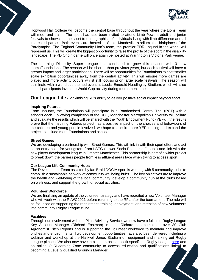

Hopwood Hall College will become the central base throughout the year where the Lions Team will meet and train. The sport has also been invited to attend Limb Powers adult and junior festivals to showcase the sport to demographics of individuals living with limb difference and all interested parties. Both events are hosted at Stoke Mandeville stadium, the birthplace of the Paralympics. The England Community Lion's team, the premier PDRL squad in the world, will represent us. This will create the biggest opportunity to raise the profile of the sport in the disability landscape. The PD Origin game will once again be hosted at Warrington's Victoria Park venue.

The Learning Disability Super League has continued to grow this season with 3 new teams/foundations. The season will be shorter than previous years, but each festival will have a greater impact and larger participation. There will be opportunities for Foundations to host smaller scale exhibition opportunities away from the central activity. This will ensure more games are played and more activity occurs whilst still focussing on large scale festivals. The season will culminate with a world cup themed event at Leeds' Emerald Headingley Stadium, which will also see all participants invited to World Cup activity during tournament time.

**Our League Life** - Maximising RL's ability to deliver positive social impact beyond sport

## **Inspiring Futures**

From January, the Foundations will participate in a Randomised Control Trial (RCT) with 2 schools each. Following completion of the RCT, Manchester Metropolitan University will collate and evaluate the results which will be shared with the Youth Endowment Fund (YEF). If the results prove that the Inspiring Futures project has a positive impact on the choices and behaviours of the children and young people involved, we hope to acquire more YEF funding and expand the project to include more Foundations and schools.

## **Street Games**

We are developing a partnership with Street Games. This will link in with their sport offers and act as an entry point for youngsters from LSEG (Lower Socio-Economic Groups) and link with the new player development league in Greater Manchester. This partnership is part of a wider project to break down the barriers people from less affluent areas face when trying to access sport.

## **Our League Life Community Hubs**

The Development Team assisted by Ian Braid DOCIA sport is working with 5 community clubs to establish a sustainable network of community wellbeing hubs. The key objectives are to improve the health and well-being of the local community, develop a community hub at the clubs based on wellness, and support the growth of social activities.

### **Volunteer Workforce**

We are finalising an update of the volunteer strategy and have recruited a new Volunteer Manager who will work with the RLWC2021 before returning to the RFL after the tournament. The role will be focussed on supporting the recruitment, training, deployment, and retention of new volunteers into community Rugby League clubs.

### **Facilities**

Through our involvement with the Pitch Advisory Service, we now have a full time Rugby League Key Account Manager (Richard Eastman) in post. Richard has completed over 30 Club Agronomist Pitch Reports and is supporting the volunteer workforce to maintain and improve pitches and environments. Two development opportunities have also been delivered including a webinar and workshop at the Halliwell Jones Stadium on equipment and marking out Rugby League pitches. We also now have in place an online toolkit specific to Rugby League [here](https://resources.thegma.org.uk/rugby-league/rugby-league-groundsmanship) and an online OuRLearning Zone community to access education and qualifications linked to becoming a Level 2 qualified Grounds Manager.

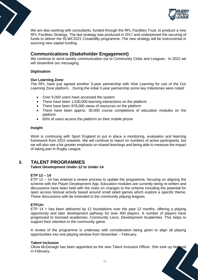

We are also working with consultants, funded through the RFL Facilities Trust, to produce a new RFL Facilities Strategy. The last strategy was produced in 2017 and underpinned the securing of funds to deliver the RLWC2021 CreatedBy programme. The new strategy will be instrumental in sourcing new capital funding.

# **Communications (Stakeholder Engagement)**

We continue to send weekly communication out to Community Clubs and Leagues. In 2022 we will streamline our messaging.

## **Digitisation**

## **Our Learning Zone**

The RFL have just agreed another 3-year partnership with Hive Learning for use of the Our Learning Zone platform. . During the initial 3-year partnership some key milestones were noted:

- Over 9,000 users have accessed the system
- There have been 1,530,000 learning interactions on the platform
- There have been 978,000 views of resources on the platform
- There have been approx. 30,000 course completions of education modules on the platform
- 60% of users access the platform on their mobile phone

## **Insight**

Work is continuing with Sport England to put in place a monitoring, evaluation and learning framework from 2022 onwards. We will continue to report on numbers of active participants, but we will also see a far greater emphasis on shared learnings and being able to measure the impact of taking part in Rugby League.

# **3. TALENT PROGRAMMES**

## **Talent Development Under-12 to Under-14**

## **ETP 12 – 14**

ETP 12 – 14 has entered a review process to update the programme, focusing on aligning the scheme with the Player Development App. Education modules are currently being re-written and discussions have been held with the clubs on changes to the scheme including the potential for open access festival activity based around small sided games which explore a specific theme. These discussions with be extended to the community playing leagues.

## **ETP14+**

ETP 14 + has been delivered by 12 foundations over the past 12 months, offering a playing opportunity and later development pathway for over 400 players. A number of players have progressed to licensed academies, Community Lions, Development Academies. This helps to support their retention in the community game.

A review of the programme is underway with consideration being given to align all playing opportunities into one playing window from November – February.

## **Talent Inclusion**

Olivia McDonagh has been appointed as the new Talent Inclusion Officer. She took up her post in February.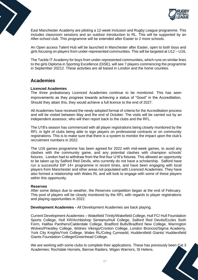

East Manchester Academy are piloting a 12-week Inclusion and Rugby League programme. This includes classroom sessions and an outdoor introduction to RL. This will be supported by an After-school club. This programme will be extended after Easter to 2 more schools.

An Open access Talent Hub will be launched in Manchester after Easter, open to both boys and girls focusing on players from under-represented communities. This will be targeted at U12 – U16.

The Tackle IT Academy for boys from under-represented communities, which runs on similar lines to the girls Diploma in Sporting Excellence (DiSE), will see 7 players commencing the programme in September 20212. These activities are all based in London and the home counties.

# **Academies**

## **Licenced Academies**

The three probationary Licenced Academies continue to be monitored. This has seen improvements as they progress towards achieving a status of "Good" in the Accreditation. Should they attain this, they would achieve a full licence to the end of 2027.

All Academies have received the newly adopted format of criteria for the Accreditation process and will be visited between May and the end of October. The visits will be carried out by an independent assessor, who will then report back to the clubs and the RFL.

The U18's season has commenced with all player registrations being closely monitored by the RFL in light of clubs being able to sign players on professional contracts or on community registrations. This is to make sure that there is a system to monitor the impact upon the club's recruitment numbers in 2022.

The U16 games programme has been agreed for 2022 with mid-week games, to avoid any clashes with the community game, and any potential clashes with champion schools' fixtures. London had to withdraw from the first four U16's fixtures. This allowed an opportunity to be taken up by Salford Red Devils, who currently do not have a scholarship. Salford have run a successful EtP 14+ programme in recent times, and have been engaging with local players from Manchester and other areas not populated with Licenced Academies. They have also formed a relationship with Wales RL and will look to engage with some of these players within this opportunity.

### **Reserves**

After some delays due to weather, the Reserves competition began at the end of February. This pool of players will be closely monitored by the RFL with regards to player registrations and playing opportunities in 2022.

**Development Academies -** All Development Academies are back playing.

Current Development Academies – Wakefield Trinity/Wakefield College, Hull FC/ Hull Foundation Sports College, Hull KR/Archbishop Sentamu/Hull College, Salford Red Devils/Eccles Sixth Form, Halifax Panthers/Calderdale College, Bradford Bulls/Bradford New College, Warrington Wolves/Priestley College, Widnes Vikings/Cronton College, London Broncos/Sigma Academy, York City Knights/York College, Wales RL/Coleg Cymoedd, Huddersfield Giants/ Huddersfield Giants Foundation College/Greenhead College.

We are working with some clubs to complete their applications. These has previously been Cat 3 Academies: Rochdale Hornets, Barrow Raiders, Wigan Warriors, St Helens.

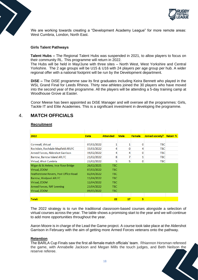

We are working towards creating a "Development Academy League" for more remote areas: West Cumbria, London, North East.

## **Girls Talent Pathways**

**Talent Hubs –** The Regional Talent Hubs was suspended in 2021, to allow players to focus on their community RL. This programme will return in 2022.

The Hubs will be held in May/June with three sites – North West, West Yorkshire and Central Yorkshire. The 2 age groups will be U15 & U16 with 24 players per age group per hub. A wider regional offer with a national footprint will be run by the Development department.

**DiSE –** The DiSE programme saw its first graduates including Keira Bennett who played in the WSL Grand Final for Leeds Rhinos. Thirty new athletes joined the 30 players who have moved into the second year of the programme. All the players will be attending a 5-day training camp at Woodhouse Grove at Easter.

Conor Meese has been appointed as DiSE Manager and will oversee all the programmes: Girls, Tackle IT and Elite Academies. This is a significant investment in developing the programme.

# 4. **MATCH OFFICIALS**

### **Recruitment**

| 2022                                  | <b>Date</b> | <b>Attended</b> | <b>Male</b> | <b>Female</b> | Joined society? | <b>Retain</b> % |
|---------------------------------------|-------------|-----------------|-------------|---------------|-----------------|-----------------|
|                                       |             |                 |             |               |                 |                 |
| Cornwall, Virtual                     | 07/01/2022  |                 |             | $\Omega$      | <b>TBC</b>      |                 |
| Rochdale, Rochdale Mayfield ARLFC     | 15/01/2022  | 4               | 0           | 4             | TBC.            |                 |
| Armed Forces, Aldershot Garrison      | 19/02/2022  | 4               | 4           | $\Omega$      | TBC.            |                 |
| <b>Barrow, Barrow Island ARLFC</b>    | 21/02/2022  | 8               | 7           |               | TBC.            |                 |
| Virtual, West Cumbria                 | 23/02/2022  | 5               | 5           | $\Omega$      | TBC             |                 |
| Wigan & St. Helens, Ince Rose Bridge  | 26/02/2021  | <b>TBC</b>      |             |               |                 |                 |
| Virtual, ZOOM                         | 07/03/2022  | <b>TBC</b>      |             |               |                 |                 |
| Featherstone Rovers, Post Office Road | 02/04/2022  | <b>TBC</b>      |             |               |                 |                 |
| Barrow, Hindpool ARLFC                | 11/04/2022  | <b>TBC</b>      |             |               |                 |                 |
| Virtual, ZOOM                         | 12/04/2022  | <b>TBC</b>      |             |               |                 |                 |
| Armed Forces, RAF Leeming             | 23/04/2022  | <b>TBC</b>      |             |               |                 |                 |
| Virtual, ZOOM                         | 09/05/2022  | TBC             |             |               |                 |                 |
|                                       |             |                 |             |               |                 |                 |
| Total:                                |             | 22              | 17          | 5             |                 |                 |

The 2022 strategy is to run the traditional classroom-based courses alongside a selection of virtual courses across the year. The table shows a promising start to the year and we will continue to add more opportunities throughout the year.

Aaron Moore is in charge of the Lead the Game project. A course took take place at the Aldershot Garrison in February with the aim of getting more Armed Forces veterans onto the pathway.

### **Retention**

The BARLA Cup Finals saw the first all-female match officials' team. Rhiannon Horsman refereed the game, with Annabelle Jackson and Megan Mills the touch judges, and Beth Neilson the reserve referee.